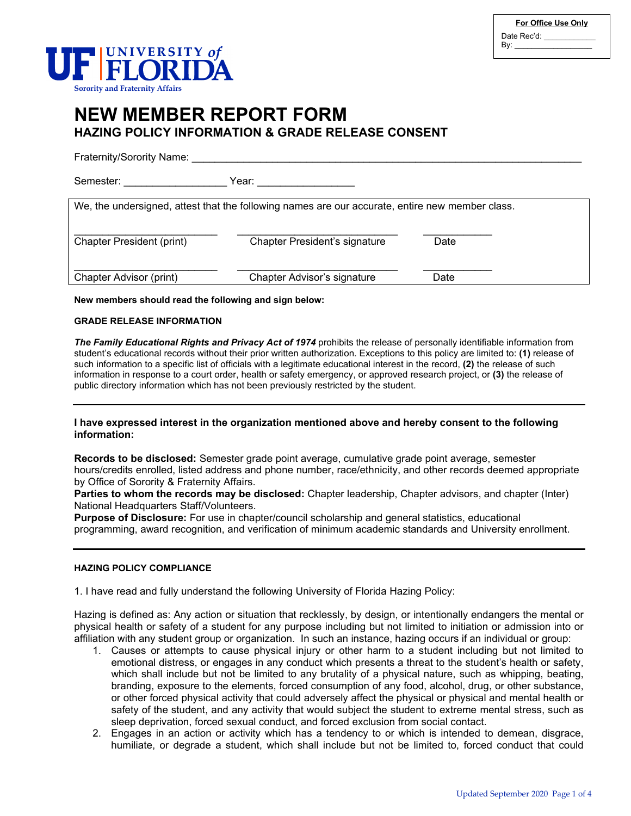| For Office Use Only |  |
|---------------------|--|
| Date Rec'd:         |  |
| By:                 |  |



# **NEW MEMBER REPORT FORM HAZING POLICY INFORMATION & GRADE RELEASE CONSENT**

Fraternity/Sorority Name: **With an all the set of the set of the set of the set of the set of the set of the set of the set of the set of the set of the set of the set of the set of the set of the set of the set of the set** 

Semester: etc. and the set of Year:  $\alpha$ 

We, the undersigned, attest that the following names are our accurate, entire new member class.

| <b>Chapter President (print)</b> | Chapter President's signature | Date |
|----------------------------------|-------------------------------|------|
| Chapter Advisor (print)          | Chapter Advisor's signature   | Date |

**New members should read the following and sign below:**

### **GRADE RELEASE INFORMATION**

*The Family Educational Rights and Privacy Act of 1974* prohibits the release of personally identifiable information from student's educational records without their prior written authorization. Exceptions to this policy are limited to: **(1)** release of such information to a specific list of officials with a legitimate educational interest in the record, **(2)** the release of such information in response to a court order, health or safety emergency, or approved research project, or **(3)** the release of public directory information which has not been previously restricted by the student.

### **I have expressed interest in the organization mentioned above and hereby consent to the following information:**

**Records to be disclosed:** Semester grade point average, cumulative grade point average, semester hours/credits enrolled, listed address and phone number, race/ethnicity, and other records deemed appropriate by Office of Sorority & Fraternity Affairs.

**Parties to whom the records may be disclosed:** Chapter leadership, Chapter advisors, and chapter (Inter) National Headquarters Staff/Volunteers.

**Purpose of Disclosure:** For use in chapter/council scholarship and general statistics, educational programming, award recognition, and verification of minimum academic standards and University enrollment.

### **HAZING POLICY COMPLIANCE**

1. I have read and fully understand the following University of Florida Hazing Policy:

Hazing is defined as: Any action or situation that recklessly, by design, or intentionally endangers the mental or physical health or safety of a student for any purpose including but not limited to initiation or admission into or affiliation with any student group or organization. In such an instance, hazing occurs if an individual or group:

- 1. Causes or attempts to cause physical injury or other harm to a student including but not limited to emotional distress, or engages in any conduct which presents a threat to the student's health or safety, which shall include but not be limited to any brutality of a physical nature, such as whipping, beating, branding, exposure to the elements, forced consumption of any food, alcohol, drug, or other substance, or other forced physical activity that could adversely affect the physical or physical and mental health or safety of the student, and any activity that would subject the student to extreme mental stress, such as sleep deprivation, forced sexual conduct, and forced exclusion from social contact.
- 2. Engages in an action or activity which has a tendency to or which is intended to demean, disgrace, humiliate, or degrade a student, which shall include but not be limited to, forced conduct that could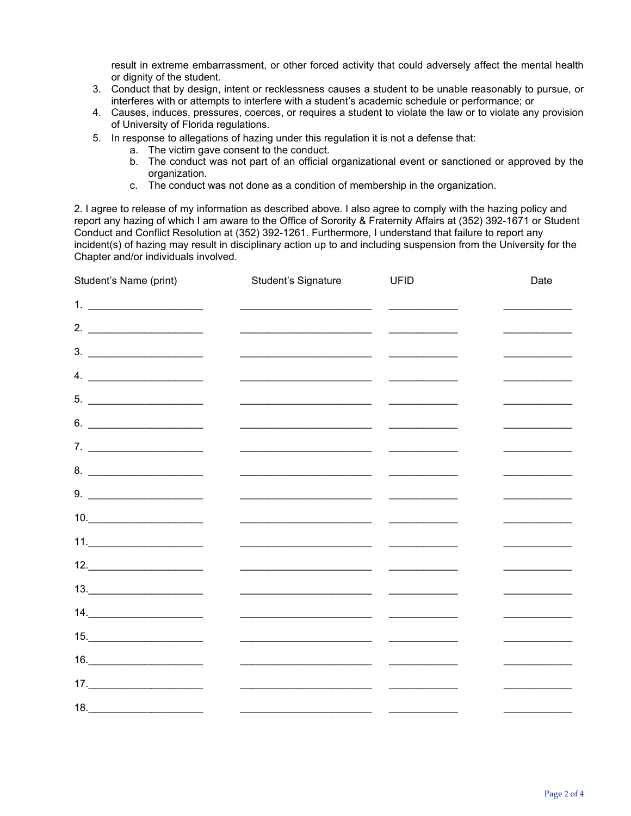result in extreme embarrassment, or other forced activity that could adversely affect the mental health or dignity of the student.

- 3. Conduct that by design, intent or recklessness causes a student to be unable reasonably to pursue, or interferes with or attempts to interfere with a student's academic schedule or performance; or
- 4. Causes, induces, pressures, coerces, or requires a student to violate the law or to violate any provision of University of Florida regulations.
- 5. In response to allegations of hazing under this regulation it is not a defense that:
	- a. The victim gave consent to the conduct.
	- b. The conduct was not part of an official organizational event or sanctioned or approved by the organization.
	- c. The conduct was not done as a condition of membership in the organization.

2. I agree to release of my information as described above. I also agree to comply with the hazing policy and report any hazing of which I am aware to the Office of Sorority & Fraternity Affairs at (352) 392-1671 or Student Conduct and Conflict Resolution at (352) 392-1261. Furthermore, I understand that failure to report any incident(s) of hazing may result in disciplinary action up to and including suspension from the University for the Chapter and/or individuals involved.

|                                                                                                                                                                                                                                                                                                                                                              |                     | Date        |
|--------------------------------------------------------------------------------------------------------------------------------------------------------------------------------------------------------------------------------------------------------------------------------------------------------------------------------------------------------------|---------------------|-------------|
| 1. $\qquad \qquad$                                                                                                                                                                                                                                                                                                                                           |                     |             |
| 2. $\qquad \qquad$                                                                                                                                                                                                                                                                                                                                           |                     |             |
|                                                                                                                                                                                                                                                                                                                                                              |                     |             |
| 4. $\qquad$                                                                                                                                                                                                                                                                                                                                                  |                     |             |
|                                                                                                                                                                                                                                                                                                                                                              |                     |             |
| $6. \begin{tabular}{ c c c c } \hline \rule{0.2cm}{.01cm} \rule{0.2cm}{.01cm} \rule{0.2cm}{.01cm} \rule{0.2cm}{.01cm} \rule{0.2cm}{.01cm} \rule{0.2cm}{.01cm} \rule{0.2cm}{.01cm} \rule{0.2cm}{.01cm} \rule{0.2cm}{.01cm} \rule{0.2cm}{.01cm} \rule{0.2cm}{.01cm} \rule{0.2cm}{.01cm} \rule{0.2cm}{.01cm} \rule{0.2cm}{.01cm} \rule{0.2cm}{.01cm} \rule{0$   |                     |             |
|                                                                                                                                                                                                                                                                                                                                                              |                     |             |
|                                                                                                                                                                                                                                                                                                                                                              |                     |             |
|                                                                                                                                                                                                                                                                                                                                                              |                     |             |
| $10. \qquad \qquad \overbrace{\qquad \qquad }$                                                                                                                                                                                                                                                                                                               |                     |             |
| 11.                                                                                                                                                                                                                                                                                                                                                          |                     |             |
| 12.                                                                                                                                                                                                                                                                                                                                                          |                     |             |
| $13. \qquad \qquad \overbrace{\qquad \qquad }$                                                                                                                                                                                                                                                                                                               |                     |             |
| $14. \qquad \qquad \overbrace{\qquad \qquad }$                                                                                                                                                                                                                                                                                                               |                     |             |
| 15.                                                                                                                                                                                                                                                                                                                                                          |                     |             |
| $\begin{tabular}{c} 16. & \hspace{1.5cm} \rule{2.2cm}{0.1cm} \rule{2.2cm}{0.1cm} \rule{2.2cm}{0.1cm} \rule{2.2cm}{0.1cm} \rule{2.2cm}{0.1cm} \rule{2.2cm}{0.1cm} \rule{2.2cm}{0.1cm} \rule{2.2cm}{0.1cm} \rule{2.2cm}{0.1cm} \rule{2.2cm}{0.1cm} \rule{2.2cm}{0.1cm} \rule{2.2cm}{0.1cm} \rule{2.2cm}{0.1cm} \rule{2.2cm}{0.1cm} \rule{2.2cm}{0.1cm} \rule{$ |                     |             |
| $\begin{array}{c} \n 17. \n \end{array}$                                                                                                                                                                                                                                                                                                                     |                     |             |
| 18.                                                                                                                                                                                                                                                                                                                                                          |                     |             |
|                                                                                                                                                                                                                                                                                                                                                              | Student's Signature | <b>UFID</b> |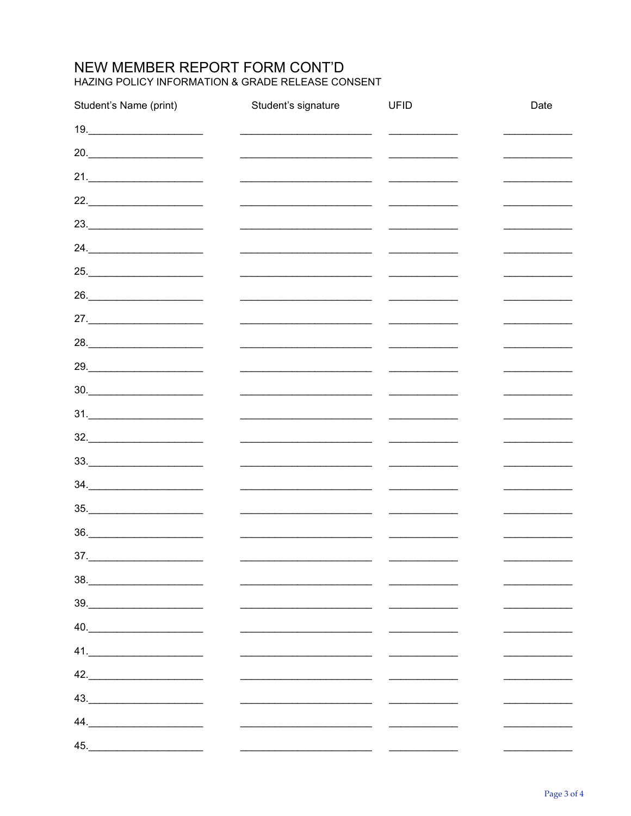# NEW MEMBER REPORT FORM CONT'D HAZING POLICY INFORMATION & GRADE RELEASE CONSENT

| Student's Name (print)                                                      | Student's signature                                                                                                  | <b>UFID</b>                                                                                                                                                                                                                          | Date |
|-----------------------------------------------------------------------------|----------------------------------------------------------------------------------------------------------------------|--------------------------------------------------------------------------------------------------------------------------------------------------------------------------------------------------------------------------------------|------|
| $19. \qquad \qquad \overbrace{\qquad \qquad }$                              |                                                                                                                      |                                                                                                                                                                                                                                      |      |
| 20.                                                                         |                                                                                                                      |                                                                                                                                                                                                                                      |      |
| $21.$                                                                       |                                                                                                                      |                                                                                                                                                                                                                                      |      |
| $22. \underline{\hspace{2cm}}$                                              |                                                                                                                      |                                                                                                                                                                                                                                      |      |
| $23.$                                                                       |                                                                                                                      |                                                                                                                                                                                                                                      |      |
|                                                                             | <u> 2000 - 2000 - 2000 - 2000 - 2000 - 2000 - 2000 - 2000 - 2000 - 2000 - 2000 - 2000 - 2000 - 2000 - 2000 - 200</u> |                                                                                                                                                                                                                                      |      |
| 25.                                                                         |                                                                                                                      |                                                                                                                                                                                                                                      |      |
| 26.                                                                         |                                                                                                                      |                                                                                                                                                                                                                                      |      |
| 27.                                                                         |                                                                                                                      |                                                                                                                                                                                                                                      |      |
| 28.                                                                         |                                                                                                                      |                                                                                                                                                                                                                                      |      |
| 29.                                                                         |                                                                                                                      |                                                                                                                                                                                                                                      |      |
| $30.$                                                                       |                                                                                                                      | <u> Territoria de la contenentación de la contenentación de la contenentación de la contenentación de la contene</u>                                                                                                                 |      |
| $31.$                                                                       |                                                                                                                      |                                                                                                                                                                                                                                      |      |
| $32. \underline{\hspace{2cm}}$                                              |                                                                                                                      | <u>and the contract of the contract of the contract of the contract of the contract of the contract of the contract of the contract of the contract of the contract of the contract of the contract of the contract of the contr</u> |      |
|                                                                             | <u> 1989 - Johann Stein, marwolaethau a bh</u>                                                                       |                                                                                                                                                                                                                                      |      |
| $34. \underline{\hspace{2cm}}$                                              |                                                                                                                      |                                                                                                                                                                                                                                      |      |
|                                                                             |                                                                                                                      | <u> 1950 - Johann Barbara, martxa a</u>                                                                                                                                                                                              |      |
| $36. \underline{\hspace{2cm}}$                                              |                                                                                                                      |                                                                                                                                                                                                                                      |      |
| 37.                                                                         |                                                                                                                      |                                                                                                                                                                                                                                      |      |
| $\begin{array}{c}\n 38. \quad \textcolor{blue}{\textbf{200}}\n \end{array}$ |                                                                                                                      |                                                                                                                                                                                                                                      |      |
| $39. \qquad \qquad \overbrace{\qquad \qquad }$                              |                                                                                                                      |                                                                                                                                                                                                                                      |      |
| 40.                                                                         |                                                                                                                      |                                                                                                                                                                                                                                      |      |
| 41.                                                                         |                                                                                                                      |                                                                                                                                                                                                                                      |      |
| 42.                                                                         |                                                                                                                      |                                                                                                                                                                                                                                      |      |
| 43.                                                                         |                                                                                                                      |                                                                                                                                                                                                                                      |      |
| $44. \underline{\hspace{2cm}}$                                              |                                                                                                                      |                                                                                                                                                                                                                                      |      |
| 45.                                                                         |                                                                                                                      |                                                                                                                                                                                                                                      |      |